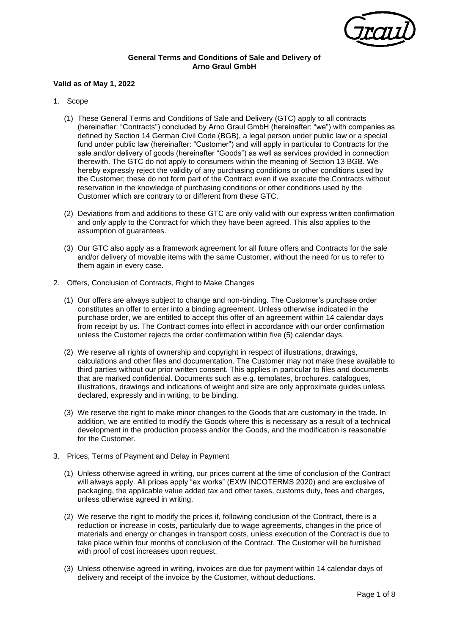

## **General Terms and Conditions of Sale and Delivery of Arno Graul GmbH**

## **Valid as of May 1, 2022**

- 1. Scope
	- (1) These General Terms and Conditions of Sale and Delivery (GTC) apply to all contracts (hereinafter: "Contracts") concluded by Arno Graul GmbH (hereinafter: "we") with companies as defined by Section 14 German Civil Code (BGB), a legal person under public law or a special fund under public law (hereinafter: "Customer") and will apply in particular to Contracts for the sale and/or delivery of goods (hereinafter "Goods") as well as services provided in connection therewith. The GTC do not apply to consumers within the meaning of Section 13 BGB. We hereby expressly reject the validity of any purchasing conditions or other conditions used by the Customer; these do not form part of the Contract even if we execute the Contracts without reservation in the knowledge of purchasing conditions or other conditions used by the Customer which are contrary to or different from these GTC.
	- (2) Deviations from and additions to these GTC are only valid with our express written confirmation and only apply to the Contract for which they have been agreed. This also applies to the assumption of guarantees.
	- (3) Our GTC also apply as a framework agreement for all future offers and Contracts for the sale and/or delivery of movable items with the same Customer, without the need for us to refer to them again in every case.
- 2. Offers, Conclusion of Contracts, Right to Make Changes
	- (1) Our offers are always subject to change and non-binding. The Customer's purchase order constitutes an offer to enter into a binding agreement. Unless otherwise indicated in the purchase order, we are entitled to accept this offer of an agreement within 14 calendar days from receipt by us. The Contract comes into effect in accordance with our order confirmation unless the Customer rejects the order confirmation within five (5) calendar days.
	- (2) We reserve all rights of ownership and copyright in respect of illustrations, drawings, calculations and other files and documentation. The Customer may not make these available to third parties without our prior written consent. This applies in particular to files and documents that are marked confidential. Documents such as e.g. templates, brochures, catalogues, illustrations, drawings and indications of weight and size are only approximate guides unless declared, expressly and in writing, to be binding.
	- (3) We reserve the right to make minor changes to the Goods that are customary in the trade. In addition, we are entitled to modify the Goods where this is necessary as a result of a technical development in the production process and/or the Goods, and the modification is reasonable for the Customer.
- 3. Prices, Terms of Payment and Delay in Payment
	- (1) Unless otherwise agreed in writing, our prices current at the time of conclusion of the Contract will always apply. All prices apply "ex works" (EXW INCOTERMS 2020) and are exclusive of packaging, the applicable value added tax and other taxes, customs duty, fees and charges, unless otherwise agreed in writing.
	- (2) We reserve the right to modify the prices if, following conclusion of the Contract, there is a reduction or increase in costs, particularly due to wage agreements, changes in the price of materials and energy or changes in transport costs, unless execution of the Contract is due to take place within four months of conclusion of the Contract. The Customer will be furnished with proof of cost increases upon request.
	- (3) Unless otherwise agreed in writing, invoices are due for payment within 14 calendar days of delivery and receipt of the invoice by the Customer, without deductions.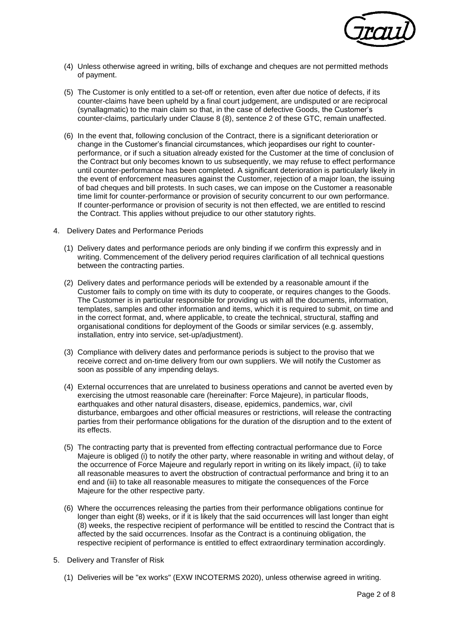

- (4) Unless otherwise agreed in writing, bills of exchange and cheques are not permitted methods of payment.
- (5) The Customer is only entitled to a set-off or retention, even after due notice of defects, if its counter-claims have been upheld by a final court judgement, are undisputed or are reciprocal (synallagmatic) to the main claim so that, in the case of defective Goods, the Customer's counter-claims, particularly under Clause 8 (8), sentence 2 of these GTC, remain unaffected.
- (6) In the event that, following conclusion of the Contract, there is a significant deterioration or change in the Customer's financial circumstances, which jeopardises our right to counterperformance, or if such a situation already existed for the Customer at the time of conclusion of the Contract but only becomes known to us subsequently, we may refuse to effect performance until counter-performance has been completed. A significant deterioration is particularly likely in the event of enforcement measures against the Customer, rejection of a major loan, the issuing of bad cheques and bill protests. In such cases, we can impose on the Customer a reasonable time limit for counter-performance or provision of security concurrent to our own performance. If counter-performance or provision of security is not then effected, we are entitled to rescind the Contract. This applies without prejudice to our other statutory rights.
- 4. Delivery Dates and Performance Periods
	- (1) Delivery dates and performance periods are only binding if we confirm this expressly and in writing. Commencement of the delivery period requires clarification of all technical questions between the contracting parties.
	- (2) Delivery dates and performance periods will be extended by a reasonable amount if the Customer fails to comply on time with its duty to cooperate, or requires changes to the Goods. The Customer is in particular responsible for providing us with all the documents, information, templates, samples and other information and items, which it is required to submit, on time and in the correct format, and, where applicable, to create the technical, structural, staffing and organisational conditions for deployment of the Goods or similar services (e.g. assembly, installation, entry into service, set-up/adjustment).
	- (3) Compliance with delivery dates and performance periods is subject to the proviso that we receive correct and on-time delivery from our own suppliers. We will notify the Customer as soon as possible of any impending delays.
	- (4) External occurrences that are unrelated to business operations and cannot be averted even by exercising the utmost reasonable care (hereinafter: Force Majeure), in particular floods, earthquakes and other natural disasters, disease, epidemics, pandemics, war, civil disturbance, embargoes and other official measures or restrictions, will release the contracting parties from their performance obligations for the duration of the disruption and to the extent of its effects.
	- (5) The contracting party that is prevented from effecting contractual performance due to Force Majeure is obliged (i) to notify the other party, where reasonable in writing and without delay, of the occurrence of Force Majeure and regularly report in writing on its likely impact, (ii) to take all reasonable measures to avert the obstruction of contractual performance and bring it to an end and (iii) to take all reasonable measures to mitigate the consequences of the Force Majeure for the other respective party.
	- (6) Where the occurrences releasing the parties from their performance obligations continue for longer than eight (8) weeks, or if it is likely that the said occurrences will last longer than eight (8) weeks, the respective recipient of performance will be entitled to rescind the Contract that is affected by the said occurrences. Insofar as the Contract is a continuing obligation, the respective recipient of performance is entitled to effect extraordinary termination accordingly.
- 5. Delivery and Transfer of Risk
	- (1) Deliveries will be "ex works" (EXW INCOTERMS 2020), unless otherwise agreed in writing.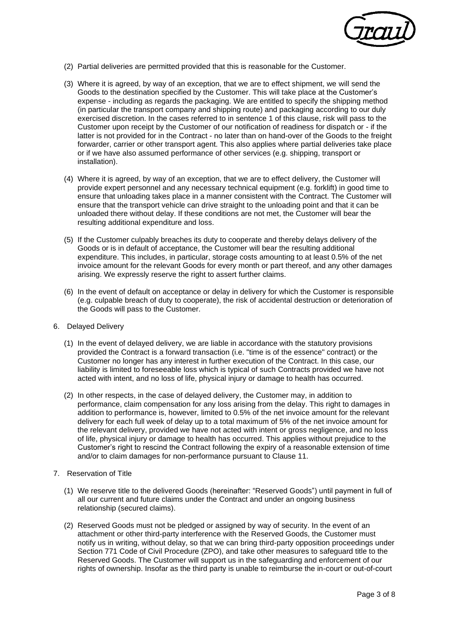

- (2) Partial deliveries are permitted provided that this is reasonable for the Customer.
- (3) Where it is agreed, by way of an exception, that we are to effect shipment, we will send the Goods to the destination specified by the Customer. This will take place at the Customer's expense - including as regards the packaging. We are entitled to specify the shipping method (in particular the transport company and shipping route) and packaging according to our duly exercised discretion. In the cases referred to in sentence 1 of this clause, risk will pass to the Customer upon receipt by the Customer of our notification of readiness for dispatch or - if the latter is not provided for in the Contract - no later than on hand-over of the Goods to the freight forwarder, carrier or other transport agent. This also applies where partial deliveries take place or if we have also assumed performance of other services (e.g. shipping, transport or installation).
- (4) Where it is agreed, by way of an exception, that we are to effect delivery, the Customer will provide expert personnel and any necessary technical equipment (e.g. forklift) in good time to ensure that unloading takes place in a manner consistent with the Contract. The Customer will ensure that the transport vehicle can drive straight to the unloading point and that it can be unloaded there without delay. If these conditions are not met, the Customer will bear the resulting additional expenditure and loss.
- (5) If the Customer culpably breaches its duty to cooperate and thereby delays delivery of the Goods or is in default of acceptance, the Customer will bear the resulting additional expenditure. This includes, in particular, storage costs amounting to at least 0.5% of the net invoice amount for the relevant Goods for every month or part thereof, and any other damages arising. We expressly reserve the right to assert further claims.
- (6) In the event of default on acceptance or delay in delivery for which the Customer is responsible (e.g. culpable breach of duty to cooperate), the risk of accidental destruction or deterioration of the Goods will pass to the Customer.
- 6. Delayed Delivery
	- (1) In the event of delayed delivery, we are liable in accordance with the statutory provisions provided the Contract is a forward transaction (i.e. "time is of the essence" contract) or the Customer no longer has any interest in further execution of the Contract. In this case, our liability is limited to foreseeable loss which is typical of such Contracts provided we have not acted with intent, and no loss of life, physical injury or damage to health has occurred.
	- (2) In other respects, in the case of delayed delivery, the Customer may, in addition to performance, claim compensation for any loss arising from the delay. This right to damages in addition to performance is, however, limited to 0.5% of the net invoice amount for the relevant delivery for each full week of delay up to a total maximum of 5% of the net invoice amount for the relevant delivery, provided we have not acted with intent or gross negligence, and no loss of life, physical injury or damage to health has occurred. This applies without prejudice to the Customer's right to rescind the Contract following the expiry of a reasonable extension of time and/or to claim damages for non-performance pursuant to Clause 11.
- 7. Reservation of Title
	- (1) We reserve title to the delivered Goods (hereinafter: "Reserved Goods") until payment in full of all our current and future claims under the Contract and under an ongoing business relationship (secured claims).
	- (2) Reserved Goods must not be pledged or assigned by way of security. In the event of an attachment or other third-party interference with the Reserved Goods, the Customer must notify us in writing, without delay, so that we can bring third-party opposition proceedings under Section 771 Code of Civil Procedure (ZPO), and take other measures to safeguard title to the Reserved Goods. The Customer will support us in the safeguarding and enforcement of our rights of ownership. Insofar as the third party is unable to reimburse the in-court or out-of-court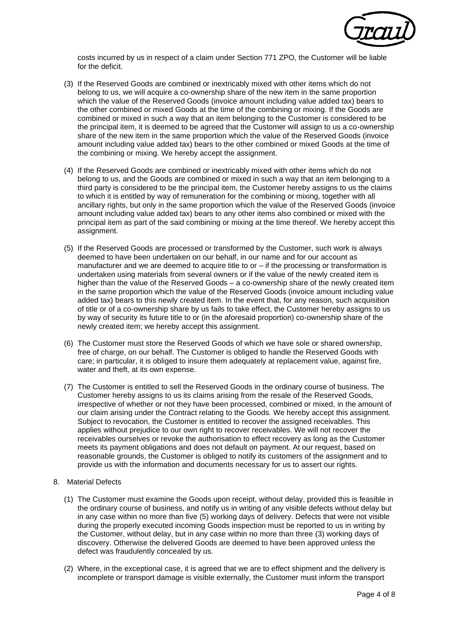

costs incurred by us in respect of a claim under Section 771 ZPO, the Customer will be liable for the deficit.

- (3) If the Reserved Goods are combined or inextricably mixed with other items which do not belong to us, we will acquire a co-ownership share of the new item in the same proportion which the value of the Reserved Goods (invoice amount including value added tax) bears to the other combined or mixed Goods at the time of the combining or mixing. If the Goods are combined or mixed in such a way that an item belonging to the Customer is considered to be the principal item, it is deemed to be agreed that the Customer will assign to us a co-ownership share of the new item in the same proportion which the value of the Reserved Goods (invoice amount including value added tax) bears to the other combined or mixed Goods at the time of the combining or mixing. We hereby accept the assignment.
- (4) If the Reserved Goods are combined or inextricably mixed with other items which do not belong to us, and the Goods are combined or mixed in such a way that an item belonging to a third party is considered to be the principal item, the Customer hereby assigns to us the claims to which it is entitled by way of remuneration for the combining or mixing, together with all ancillary rights, but only in the same proportion which the value of the Reserved Goods (invoice amount including value added tax) bears to any other items also combined or mixed with the principal item as part of the said combining or mixing at the time thereof. We hereby accept this assignment.
- (5) If the Reserved Goods are processed or transformed by the Customer, such work is always deemed to have been undertaken on our behalf, in our name and for our account as manufacturer and we are deemed to acquire title to or – if the processing or transformation is undertaken using materials from several owners or if the value of the newly created item is higher than the value of the Reserved Goods – a co-ownership share of the newly created item in the same proportion which the value of the Reserved Goods (invoice amount including value added tax) bears to this newly created item. In the event that, for any reason, such acquisition of title or of a co-ownership share by us fails to take effect, the Customer hereby assigns to us by way of security its future title to or (in the aforesaid proportion) co-ownership share of the newly created item; we hereby accept this assignment.
- (6) The Customer must store the Reserved Goods of which we have sole or shared ownership, free of charge, on our behalf. The Customer is obliged to handle the Reserved Goods with care; in particular, it is obliged to insure them adequately at replacement value, against fire, water and theft, at its own expense.
- (7) The Customer is entitled to sell the Reserved Goods in the ordinary course of business. The Customer hereby assigns to us its claims arising from the resale of the Reserved Goods, irrespective of whether or not they have been processed, combined or mixed, in the amount of our claim arising under the Contract relating to the Goods. We hereby accept this assignment. Subject to revocation, the Customer is entitled to recover the assigned receivables. This applies without prejudice to our own right to recover receivables. We will not recover the receivables ourselves or revoke the authorisation to effect recovery as long as the Customer meets its payment obligations and does not default on payment. At our request, based on reasonable grounds, the Customer is obliged to notify its customers of the assignment and to provide us with the information and documents necessary for us to assert our rights.
- 8. Material Defects
	- (1) The Customer must examine the Goods upon receipt, without delay, provided this is feasible in the ordinary course of business, and notify us in writing of any visible defects without delay but in any case within no more than five (5) working days of delivery. Defects that were not visible during the properly executed incoming Goods inspection must be reported to us in writing by the Customer, without delay, but in any case within no more than three (3) working days of discovery. Otherwise the delivered Goods are deemed to have been approved unless the defect was fraudulently concealed by us.
	- (2) Where, in the exceptional case, it is agreed that we are to effect shipment and the delivery is incomplete or transport damage is visible externally, the Customer must inform the transport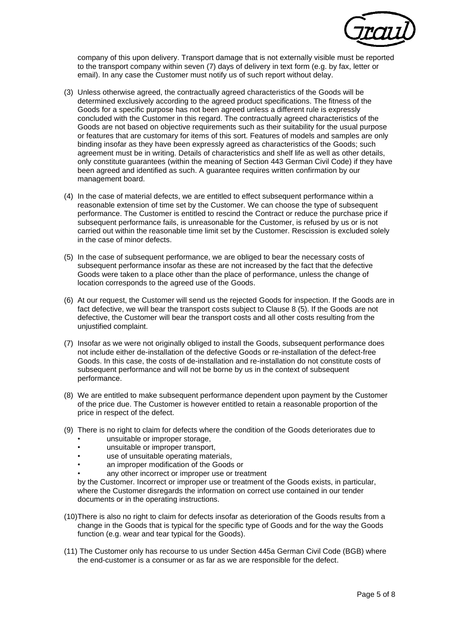

company of this upon delivery. Transport damage that is not externally visible must be reported to the transport company within seven (7) days of delivery in text form (e.g. by fax, letter or email). In any case the Customer must notify us of such report without delay.

- (3) Unless otherwise agreed, the contractually agreed characteristics of the Goods will be determined exclusively according to the agreed product specifications. The fitness of the Goods for a specific purpose has not been agreed unless a different rule is expressly concluded with the Customer in this regard. The contractually agreed characteristics of the Goods are not based on objective requirements such as their suitability for the usual purpose or features that are customary for items of this sort. Features of models and samples are only binding insofar as they have been expressly agreed as characteristics of the Goods; such agreement must be in writing. Details of characteristics and shelf life as well as other details, only constitute guarantees (within the meaning of Section 443 German Civil Code) if they have been agreed and identified as such. A guarantee requires written confirmation by our management board.
- (4) In the case of material defects, we are entitled to effect subsequent performance within a reasonable extension of time set by the Customer. We can choose the type of subsequent performance. The Customer is entitled to rescind the Contract or reduce the purchase price if subsequent performance fails, is unreasonable for the Customer, is refused by us or is not carried out within the reasonable time limit set by the Customer. Rescission is excluded solely in the case of minor defects.
- (5) In the case of subsequent performance, we are obliged to bear the necessary costs of subsequent performance insofar as these are not increased by the fact that the defective Goods were taken to a place other than the place of performance, unless the change of location corresponds to the agreed use of the Goods.
- (6) At our request, the Customer will send us the rejected Goods for inspection. If the Goods are in fact defective, we will bear the transport costs subject to Clause 8 (5). If the Goods are not defective, the Customer will bear the transport costs and all other costs resulting from the unjustified complaint.
- (7) Insofar as we were not originally obliged to install the Goods, subsequent performance does not include either de-installation of the defective Goods or re-installation of the defect-free Goods. In this case, the costs of de-installation and re-installation do not constitute costs of subsequent performance and will not be borne by us in the context of subsequent performance.
- (8) We are entitled to make subsequent performance dependent upon payment by the Customer of the price due. The Customer is however entitled to retain a reasonable proportion of the price in respect of the defect.
- (9) There is no right to claim for defects where the condition of the Goods deteriorates due to
	- unsuitable or improper storage,
	- unsuitable or improper transport,
	- use of unsuitable operating materials,
	- an improper modification of the Goods or
	- any other incorrect or improper use or treatment

by the Customer. Incorrect or improper use or treatment of the Goods exists, in particular, where the Customer disregards the information on correct use contained in our tender documents or in the operating instructions.

- (10)There is also no right to claim for defects insofar as deterioration of the Goods results from a change in the Goods that is typical for the specific type of Goods and for the way the Goods function (e.g. wear and tear typical for the Goods).
- (11) The Customer only has recourse to us under Section 445a German Civil Code (BGB) where the end-customer is a consumer or as far as we are responsible for the defect.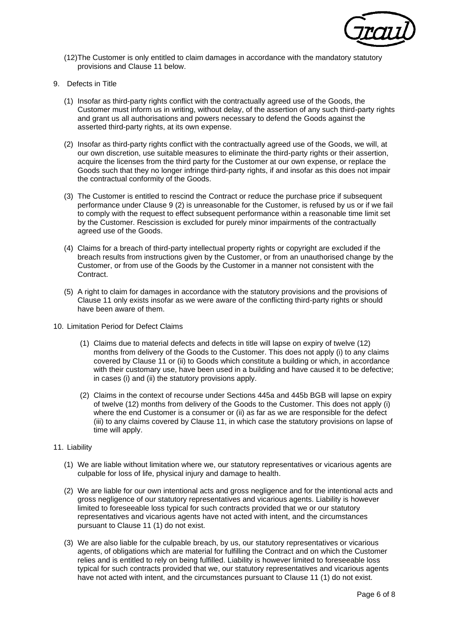

- (12)The Customer is only entitled to claim damages in accordance with the mandatory statutory provisions and Clause 11 below.
- 9. Defects in Title
	- (1) Insofar as third-party rights conflict with the contractually agreed use of the Goods, the Customer must inform us in writing, without delay, of the assertion of any such third-party rights and grant us all authorisations and powers necessary to defend the Goods against the asserted third-party rights, at its own expense.
	- (2) Insofar as third-party rights conflict with the contractually agreed use of the Goods, we will, at our own discretion, use suitable measures to eliminate the third-party rights or their assertion, acquire the licenses from the third party for the Customer at our own expense, or replace the Goods such that they no longer infringe third-party rights, if and insofar as this does not impair the contractual conformity of the Goods.
	- (3) The Customer is entitled to rescind the Contract or reduce the purchase price if subsequent performance under Clause 9 (2) is unreasonable for the Customer, is refused by us or if we fail to comply with the request to effect subsequent performance within a reasonable time limit set by the Customer. Rescission is excluded for purely minor impairments of the contractually agreed use of the Goods.
	- (4) Claims for a breach of third-party intellectual property rights or copyright are excluded if the breach results from instructions given by the Customer, or from an unauthorised change by the Customer, or from use of the Goods by the Customer in a manner not consistent with the Contract.
	- (5) A right to claim for damages in accordance with the statutory provisions and the provisions of Clause 11 only exists insofar as we were aware of the conflicting third-party rights or should have been aware of them.
- 10. Limitation Period for Defect Claims
	- (1) Claims due to material defects and defects in title will lapse on expiry of twelve (12) months from delivery of the Goods to the Customer. This does not apply (i) to any claims covered by Clause 11 or (ii) to Goods which constitute a building or which, in accordance with their customary use, have been used in a building and have caused it to be defective; in cases (i) and (ii) the statutory provisions apply.
	- (2) Claims in the context of recourse under Sections 445a and 445b BGB will lapse on expiry of twelve (12) months from delivery of the Goods to the Customer. This does not apply (i) where the end Customer is a consumer or (ii) as far as we are responsible for the defect (iii) to any claims covered by Clause 11, in which case the statutory provisions on lapse of time will apply.
- 11. Liability
	- (1) We are liable without limitation where we, our statutory representatives or vicarious agents are culpable for loss of life, physical injury and damage to health.
	- (2) We are liable for our own intentional acts and gross negligence and for the intentional acts and gross negligence of our statutory representatives and vicarious agents. Liability is however limited to foreseeable loss typical for such contracts provided that we or our statutory representatives and vicarious agents have not acted with intent, and the circumstances pursuant to Clause 11 (1) do not exist.
	- (3) We are also liable for the culpable breach, by us, our statutory representatives or vicarious agents, of obligations which are material for fulfilling the Contract and on which the Customer relies and is entitled to rely on being fulfilled. Liability is however limited to foreseeable loss typical for such contracts provided that we, our statutory representatives and vicarious agents have not acted with intent, and the circumstances pursuant to Clause 11 (1) do not exist.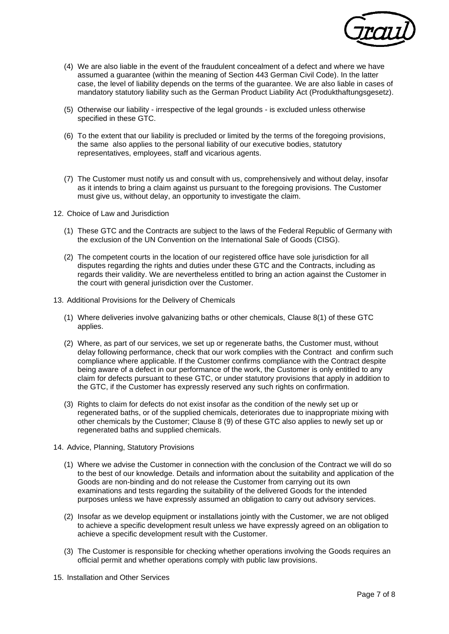

- (4) We are also liable in the event of the fraudulent concealment of a defect and where we have assumed a guarantee (within the meaning of Section 443 German Civil Code). In the latter case, the level of liability depends on the terms of the guarantee. We are also liable in cases of mandatory statutory liability such as the German Product Liability Act (Produkthaftungsgesetz).
- (5) Otherwise our liability irrespective of the legal grounds is excluded unless otherwise specified in these GTC.
- (6) To the extent that our liability is precluded or limited by the terms of the foregoing provisions, the same also applies to the personal liability of our executive bodies, statutory representatives, employees, staff and vicarious agents.
- (7) The Customer must notify us and consult with us, comprehensively and without delay, insofar as it intends to bring a claim against us pursuant to the foregoing provisions. The Customer must give us, without delay, an opportunity to investigate the claim.
- 12. Choice of Law and Jurisdiction
	- (1) These GTC and the Contracts are subject to the laws of the Federal Republic of Germany with the exclusion of the UN Convention on the International Sale of Goods (CISG).
	- (2) The competent courts in the location of our registered office have sole jurisdiction for all disputes regarding the rights and duties under these GTC and the Contracts, including as regards their validity. We are nevertheless entitled to bring an action against the Customer in the court with general jurisdiction over the Customer.
- 13. Additional Provisions for the Delivery of Chemicals
	- (1) Where deliveries involve galvanizing baths or other chemicals, Clause 8(1) of these GTC applies.
	- (2) Where, as part of our services, we set up or regenerate baths, the Customer must, without delay following performance, check that our work complies with the Contract and confirm such compliance where applicable. If the Customer confirms compliance with the Contract despite being aware of a defect in our performance of the work, the Customer is only entitled to any claim for defects pursuant to these GTC, or under statutory provisions that apply in addition to the GTC, if the Customer has expressly reserved any such rights on confirmation.
	- (3) Rights to claim for defects do not exist insofar as the condition of the newly set up or regenerated baths, or of the supplied chemicals, deteriorates due to inappropriate mixing with other chemicals by the Customer; Clause 8 (9) of these GTC also applies to newly set up or regenerated baths and supplied chemicals.
- 14. Advice, Planning, Statutory Provisions
	- (1) Where we advise the Customer in connection with the conclusion of the Contract we will do so to the best of our knowledge. Details and information about the suitability and application of the Goods are non-binding and do not release the Customer from carrying out its own examinations and tests regarding the suitability of the delivered Goods for the intended purposes unless we have expressly assumed an obligation to carry out advisory services.
	- (2) Insofar as we develop equipment or installations jointly with the Customer, we are not obliged to achieve a specific development result unless we have expressly agreed on an obligation to achieve a specific development result with the Customer.
	- (3) The Customer is responsible for checking whether operations involving the Goods requires an official permit and whether operations comply with public law provisions.
- 15. Installation and Other Services